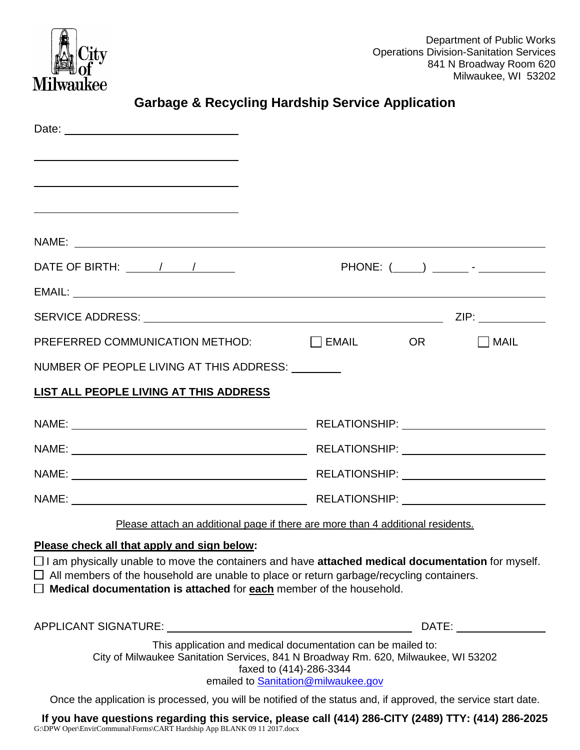

| <b>Garbage &amp; Recycling Hardship Service Application</b>                                                                                                                                                          |                                                                                                                                                                                                                                |
|----------------------------------------------------------------------------------------------------------------------------------------------------------------------------------------------------------------------|--------------------------------------------------------------------------------------------------------------------------------------------------------------------------------------------------------------------------------|
|                                                                                                                                                                                                                      |                                                                                                                                                                                                                                |
| <u> 1989 - Johann Barn, mars ann an t-Amhain ann an t-Amhain an t-Amhain an t-Amhain an t-Amhain an t-Amhain an t-</u>                                                                                               |                                                                                                                                                                                                                                |
|                                                                                                                                                                                                                      |                                                                                                                                                                                                                                |
|                                                                                                                                                                                                                      |                                                                                                                                                                                                                                |
|                                                                                                                                                                                                                      |                                                                                                                                                                                                                                |
|                                                                                                                                                                                                                      |                                                                                                                                                                                                                                |
|                                                                                                                                                                                                                      |                                                                                                                                                                                                                                |
|                                                                                                                                                                                                                      |                                                                                                                                                                                                                                |
| $\mathsf{PREFERRED}\ \mathsf{COMMUNICATION}\ \mathsf{METHOD:}\qquad \qquad \textcolor{red}{\Box}\ \mathsf{EMAIL}\qquad \qquad \mathsf{OR}$                                                                           | $\Box$ MAIL                                                                                                                                                                                                                    |
| NUMBER OF PEOPLE LIVING AT THIS ADDRESS: UNITED                                                                                                                                                                      |                                                                                                                                                                                                                                |
| <b>LIST ALL PEOPLE LIVING AT THIS ADDRESS</b>                                                                                                                                                                        |                                                                                                                                                                                                                                |
|                                                                                                                                                                                                                      |                                                                                                                                                                                                                                |
|                                                                                                                                                                                                                      |                                                                                                                                                                                                                                |
|                                                                                                                                                                                                                      |                                                                                                                                                                                                                                |
|                                                                                                                                                                                                                      |                                                                                                                                                                                                                                |
| Please attach an additional page if there are more than 4 additional residents.                                                                                                                                      |                                                                                                                                                                                                                                |
| Please check all that apply and sign below:<br>$\Box$ I am physically unable to move the containers and have attached medical documentation for myself.                                                              |                                                                                                                                                                                                                                |
| $\Box$ All members of the household are unable to place or return garbage/recycling containers.                                                                                                                      |                                                                                                                                                                                                                                |
| $\Box$ Medical documentation is attached for each member of the household.                                                                                                                                           |                                                                                                                                                                                                                                |
|                                                                                                                                                                                                                      | DATE: the contract of the contract of the contract of the contract of the contract of the contract of the contract of the contract of the contract of the contract of the contract of the contract of the contract of the cont |
| This application and medical documentation can be mailed to:<br>City of Milwaukee Sanitation Services, 841 N Broadway Rm. 620, Milwaukee, WI 53202<br>faxed to (414)-286-3344<br>emailed to Sanitation@milwaukee.gov |                                                                                                                                                                                                                                |
| Once the application is processed, you will be notified of the status and, if approved, the service start date.                                                                                                      |                                                                                                                                                                                                                                |

**If you have questions regarding this service, please call (414) 286-CITY (2489) TTY: (414) 286-2025** G:\DPW Oper\EnvirCommunal\Forms\CART Hardship App BLANK 09 11 2017.docx